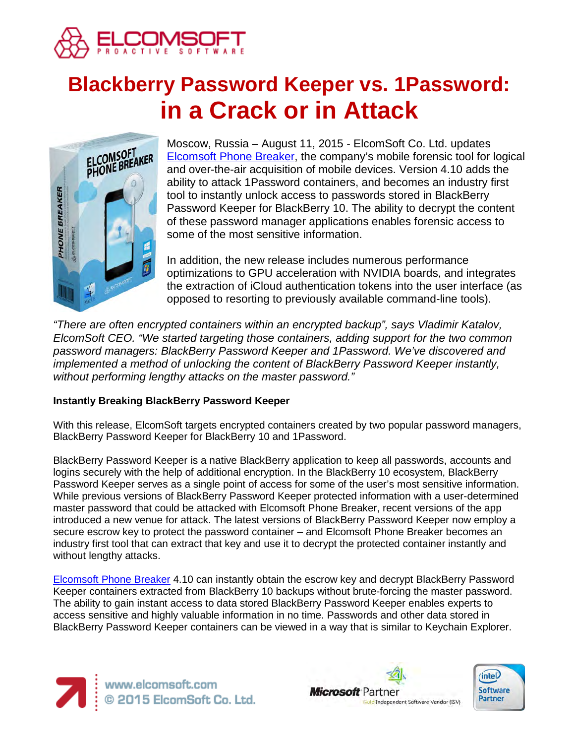

# **Blackberry Password Keeper vs. 1Password: in a Crack or in Attack**



Moscow, Russia – August 11, 2015 - ElcomSoft Co. Ltd. updates [Elcomsoft Phone Breaker,](https://www.elcomsoft.com/eppb.html) the company's mobile forensic tool for logical and over-the-air acquisition of mobile devices. Version 4.10 adds the ability to attack 1Password containers, and becomes an industry first tool to instantly unlock access to passwords stored in BlackBerry Password Keeper for BlackBerry 10. The ability to decrypt the content of these password manager applications enables forensic access to some of the most sensitive information.

In addition, the new release includes numerous performance optimizations to GPU acceleration with NVIDIA boards, and integrates the extraction of iCloud authentication tokens into the user interface (as opposed to resorting to previously available command-line tools).

*"There are often encrypted containers within an encrypted backup", says Vladimir Katalov, ElcomSoft CEO. "We started targeting those containers, adding support for the two common password managers: BlackBerry Password Keeper and 1Password. We've discovered and implemented a method of unlocking the content of BlackBerry Password Keeper instantly, without performing lengthy attacks on the master password."*

## **Instantly Breaking BlackBerry Password Keeper**

With this release, ElcomSoft targets encrypted containers created by two popular password managers, BlackBerry Password Keeper for BlackBerry 10 and 1Password.

BlackBerry Password Keeper is a native BlackBerry application to keep all passwords, accounts and logins securely with the help of additional encryption. In the BlackBerry 10 ecosystem, BlackBerry Password Keeper serves as a single point of access for some of the user's most sensitive information. While previous versions of BlackBerry Password Keeper protected information with a user-determined master password that could be attacked with Elcomsoft Phone Breaker, recent versions of the app introduced a new venue for attack. The latest versions of BlackBerry Password Keeper now employ a secure escrow key to protect the password container – and Elcomsoft Phone Breaker becomes an industry first tool that can extract that key and use it to decrypt the protected container instantly and without lengthy attacks.

[Elcomsoft Phone Breaker](https://www.elcomsoft.com/eppb.html) 4.10 can instantly obtain the escrow key and decrypt BlackBerry Password Keeper containers extracted from BlackBerry 10 backups without brute-forcing the master password. The ability to gain instant access to data stored BlackBerry Password Keeper enables experts to access sensitive and highly valuable information in no time. Passwords and other data stored in BlackBerry Password Keeper containers can be viewed in a way that is similar to Keychain Explorer.





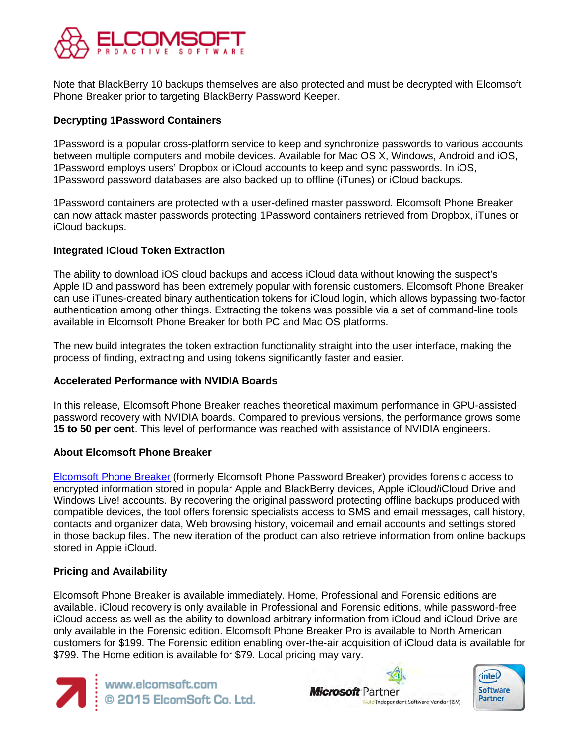

Note that BlackBerry 10 backups themselves are also protected and must be decrypted with Elcomsoft Phone Breaker prior to targeting BlackBerry Password Keeper.

## **Decrypting 1Password Containers**

1Password is a popular cross-platform service to keep and synchronize passwords to various accounts between multiple computers and mobile devices. Available for Mac OS X, Windows, Android and iOS, 1Password employs users' Dropbox or iCloud accounts to keep and sync passwords. In iOS, 1Password password databases are also backed up to offline (iTunes) or iCloud backups.

1Password containers are protected with a user-defined master password. Elcomsoft Phone Breaker can now attack master passwords protecting 1Password containers retrieved from Dropbox, iTunes or iCloud backups.

#### **Integrated iCloud Token Extraction**

The ability to download iOS cloud backups and access iCloud data without knowing the suspect's Apple ID and password has been extremely popular with forensic customers. Elcomsoft Phone Breaker can use iTunes-created binary authentication tokens for iCloud login, which allows bypassing two-factor authentication among other things. Extracting the tokens was possible via a set of command-line tools available in Elcomsoft Phone Breaker for both PC and Mac OS platforms.

The new build integrates the token extraction functionality straight into the user interface, making the process of finding, extracting and using tokens significantly faster and easier.

#### **Accelerated Performance with NVIDIA Boards**

In this release, Elcomsoft Phone Breaker reaches theoretical maximum performance in GPU-assisted password recovery with NVIDIA boards. Compared to previous versions, the performance grows some **15 to 50 per cent**. This level of performance was reached with assistance of NVIDIA engineers.

#### **About Elcomsoft Phone Breaker**

[Elcomsoft Phone Breaker](https://www.elcomsoft.com/eppb.html) (formerly Elcomsoft Phone Password Breaker) provides forensic access to encrypted information stored in popular Apple and BlackBerry devices, Apple iCloud/iCloud Drive and Windows Live! accounts. By recovering the original password protecting offline backups produced with compatible devices, the tool offers forensic specialists access to SMS and email messages, call history, contacts and organizer data, Web browsing history, voicemail and email accounts and settings stored in those backup files. The new iteration of the product can also retrieve information from online backups stored in Apple iCloud.

## **Pricing and Availability**

Elcomsoft Phone Breaker is available immediately. Home, Professional and Forensic editions are available. iCloud recovery is only available in Professional and Forensic editions, while password-free iCloud access as well as the ability to download arbitrary information from iCloud and iCloud Drive are only available in the Forensic edition. Elcomsoft Phone Breaker Pro is available to North American customers for \$199. The Forensic edition enabling over-the-air acquisition of iCloud data is available for \$799. The Home edition is available for \$79. Local pricing may vary.